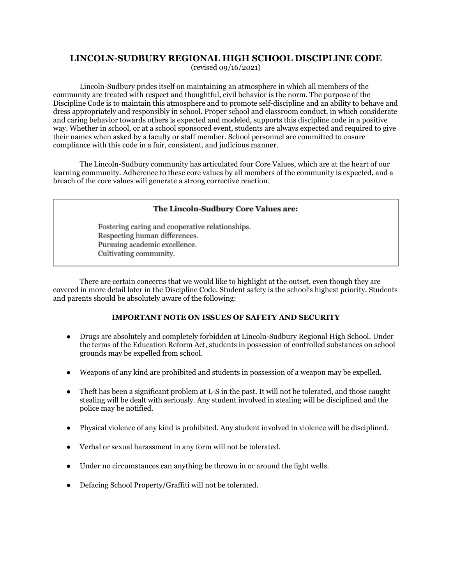# **LINCOLN-SUDBURY REGIONAL HIGH SCHOOL DISCIPLINE CODE**

(revised 09/16/2021)

Lincoln-Sudbury prides itself on maintaining an atmosphere in which all members of the community are treated with respect and thoughtful, civil behavior is the norm. The purpose of the Discipline Code is to maintain this atmosphere and to promote self-discipline and an ability to behave and dress appropriately and responsibly in school. Proper school and classroom conduct, in which considerate and caring behavior towards others is expected and modeled, supports this discipline code in a positive way. Whether in school, or at a school sponsored event, students are always expected and required to give their names when asked by a faculty or staff member. School personnel are committed to ensure compliance with this code in a fair, consistent, and judicious manner.

The Lincoln-Sudbury community has articulated four Core Values, which are at the heart of our learning community. Adherence to these core values by all members of the community is expected, and a breach of the core values will generate a strong corrective reaction.

### The Lincoln-Sudbury Core Values are:

Fostering caring and cooperative relationships. Respecting human differences. Pursuing academic excellence. Cultivating community.

There are certain concerns that we would like to highlight at the outset, even though they are covered in more detail later in the Discipline Code. Student safety is the school's highest priority. Students and parents should be absolutely aware of the following:

# **IMPORTANT NOTE ON ISSUES OF SAFETY AND SECURITY**

- Drugs are absolutely and completely forbidden at Lincoln-Sudbury Regional High School. Under the terms of the Education Reform Act, students in possession of controlled substances on school grounds may be expelled from school.
- Weapons of any kind are prohibited and students in possession of a weapon may be expelled.
- Theft has been a significant problem at L-S in the past. It will not be tolerated, and those caught stealing will be dealt with seriously. Any student involved in stealing will be disciplined and the police may be notified.
- Physical violence of any kind is prohibited. Any student involved in violence will be disciplined.
- Verbal or sexual harassment in any form will not be tolerated.
- Under no circumstances can anything be thrown in or around the light wells.
- Defacing School Property/Graffiti will not be tolerated.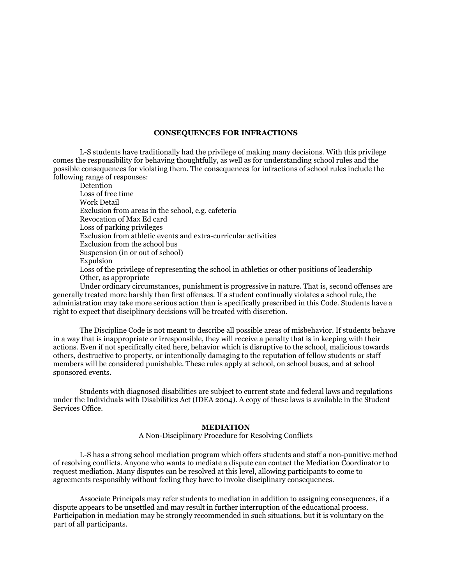#### **CONSEQUENCES FOR INFRACTIONS**

L-S students have traditionally had the privilege of making many decisions. With this privilege comes the responsibility for behaving thoughtfully, as well as for understanding school rules and the possible consequences for violating them. The consequences for infractions of school rules include the following range of responses:

Detention Loss of free time Work Detail Exclusion from areas in the school, e.g. cafeteria Revocation of Max Ed card Loss of parking privileges Exclusion from athletic events and extra-curricular activities Exclusion from the school bus Suspension (in or out of school) Expulsion Loss of the privilege of representing the school in athletics or other positions of leadership Other, as appropriate

Under ordinary circumstances, punishment is progressive in nature. That is, second offenses are generally treated more harshly than first offenses. If a student continually violates a school rule, the administration may take more serious action than is specifically prescribed in this Code. Students have a right to expect that disciplinary decisions will be treated with discretion.

The Discipline Code is not meant to describe all possible areas of misbehavior. If students behave in a way that is inappropriate or irresponsible, they will receive a penalty that is in keeping with their actions. Even if not specifically cited here, behavior which is disruptive to the school, malicious towards others, destructive to property, or intentionally damaging to the reputation of fellow students or staff members will be considered punishable. These rules apply at school, on school buses, and at school sponsored events.

Students with diagnosed disabilities are subject to current state and federal laws and regulations under the Individuals with Disabilities Act (IDEA 2004). A copy of these laws is available in the Student Services Office.

#### **MEDIATION**

A Non-Disciplinary Procedure for Resolving Conflicts

L-S has a strong school mediation program which offers students and staff a non-punitive method of resolving conflicts. Anyone who wants to mediate a dispute can contact the Mediation Coordinator to request mediation. Many disputes can be resolved at this level, allowing participants to come to agreements responsibly without feeling they have to invoke disciplinary consequences.

Associate Principals may refer students to mediation in addition to assigning consequences, if a dispute appears to be unsettled and may result in further interruption of the educational process. Participation in mediation may be strongly recommended in such situations, but it is voluntary on the part of all participants.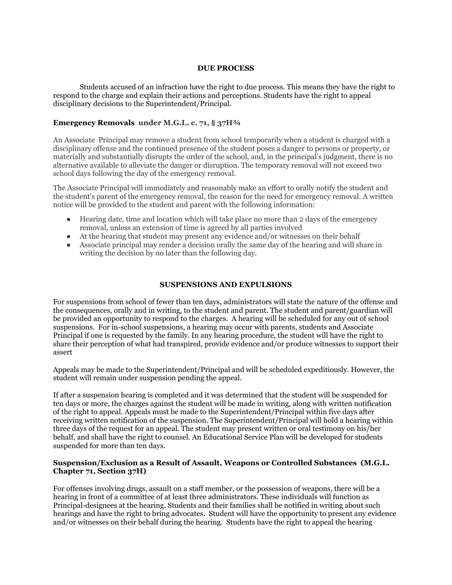#### **DUE PROCESS**

Students accused of an infraction have the right to due process. This means they have the right to respond to the charge and explain their actions and perceptions. Students have the right to appeal disciplinary decisions to the Superintendent/Principal.

### **Emergency Removals under M.G.L. c. 71, § 37H¾**

An Associate Principal may remove a student from school temporarily when a student is charged with a disciplinary offense and the continued presence of the student poses a danger to persons or property, or materially and substantially disrupts the order of the school, and, in the principal's judgment, there is no alternative available to alleviate the danger or disruption. The temporary removal will not exceed two school days following the day of the emergency removal.

The Associate Principal will immediately and reasonably make an effort to orally notify the student and the student's parent of the emergency removal, the reason for the need for emergency removal. A written notice will be provided to the student and parent with the following information:

- Hearing date, time and location which will take place no more than 2 days of the emergency removal, unless an extension of time is agreed by all parties involved
- At the hearing that student may present any evidence and/or witnesses on their behalf
- Associate principal may render a decision orally the same day of the hearing and will share in writing the decision by no later than the following day.

#### **SUSPENSIONS AND EXPULSIONS**

For suspensions from school of fewer than ten days, administrators will state the nature of the offense and the consequences, orally and in writing, to the student and parent. The student and parent/guardian will be provided an opportunity to respond to the charges. A hearing will be scheduled for any out of school suspensions. For in-school suspensions, a hearing may occur with parents, students and Associate Principal if one is requested by the family. In any hearing procedure, the student will have the right to share their perception of what had transpired, provide evidence and/or produce witnesses to support their assert

Appeals may be made to the Superintendent/Principal and will be scheduled expeditiously. However, the student will remain under suspension pending the appeal.

If after a suspension hearing is completed and it was determined that the student will be suspended for ten days or more, the charges against the student will be made in writing, along with written notification of the right to appeal. Appeals must be made to the Superintendent/Principal within five days after receiving written notification of the suspension. The Superintendent/Principal will hold a hearing within three days of the request for an appeal. The student may present written or oral testimony on his/her behalf, and shall have the right to counsel. An Educational Service Plan will be developed for students suspended for more than ten days.

### **Suspension/Exclusion as a Result of Assault, Weapons or Controlled Substances (M.G.L. Chapter 71, Section 37H)**

For offenses involving drugs, assault on a staff member, or the possession of weapons, there will be a hearing in front of a committee of at least three administrators. These individuals will function as Principal-designees at the hearing. Students and their families shall be notified in writing about such hearings and have the right to bring advocates. Student will have the opportunity to present any evidence and/or witnesses on their behalf during the hearing. Students have the right to appeal the hearing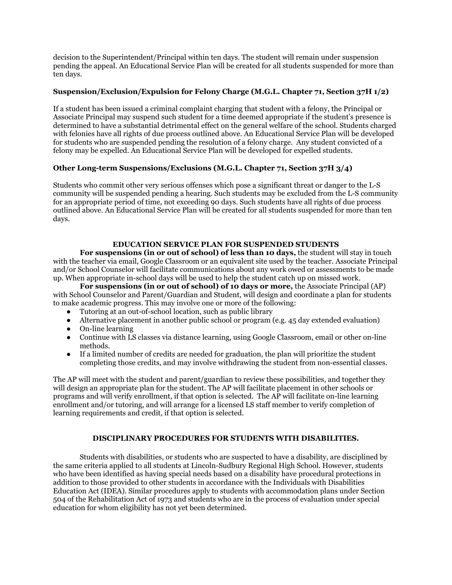decision to the Superintendent/Principal within ten days. The student will remain under suspension pending the appeal. An Educational Service Plan will be created for all students suspended for more than ten days.

### **Suspension/Exclusion/Expulsion for Felony Charge (M.G.L. Chapter 71, Section 37H 1/2)**

If a student has been issued a criminal complaint charging that student with a felony, the Principal or Associate Principal may suspend such student for a time deemed appropriate if the student's presence is determined to have a substantial detrimental effect on the general welfare of the school. Students charged with felonies have all rights of due process outlined above. An Educational Service Plan will be developed for students who are suspended pending the resolution of a felony charge. Any student convicted of a felony may be expelled. An Educational Service Plan will be developed for expelled students.

### **Other Long-term Suspensions/Exclusions (M.G.L. Chapter 71, Section 37H 3/4)**

Students who commit other very serious offenses which pose a significant threat or danger to the L-S community will be suspended pending a hearing. Such students may be excluded from the L-S community for an appropriate period of time, not exceeding 90 days. Such students have all rights of due process outlined above. An Educational Service Plan will be created for all students suspended for more than ten days.

### **EDUCATION SERVICE PLAN FOR SUSPENDED STUDENTS**

**For suspensions (in or out of school) of less than 10 days,** the student will stay in touch with the teacher via email, Google Classroom or an equivalent site used by the teacher. Associate Principal and/or School Counselor will facilitate communications about any work owed or assessments to be made up. When appropriate in-school days will be used to help the student catch up on missed work.

**For suspensions (in or out of school) of 10 days or more,** the Associate Principal (AP) with School Counselor and Parent/Guardian and Student, will design and coordinate a plan for students to make academic progress. This may involve one or more of the following:

- Tutoring at an out-of-school location, such as public library
- Alternative placement in another public school or program (e.g. 45 day extended evaluation)
- On-line learning
- Continue with LS classes via distance learning, using Google Classroom, email or other on-line methods.
- If a limited number of credits are needed for graduation, the plan will prioritize the student completing those credits, and may involve withdrawing the student from non-essential classes.

The AP will meet with the student and parent/guardian to review these possibilities, and together they will design an appropriate plan for the student. The AP will facilitate placement in other schools or programs and will verify enrollment, if that option is selected. The AP will facilitate on-line learning enrollment and/or tutoring, and will arrange for a licensed LS staff member to verify completion of learning requirements and credit, if that option is selected.

### **DISCIPLINARY PROCEDURES FOR STUDENTS WITH DISABILITIES.**

Students with disabilities, or students who are suspected to have a disability, are disciplined by the same criteria applied to all students at Lincoln-Sudbury Regional High School. However, students who have been identified as having special needs based on a disability have procedural protections in addition to those provided to other students in accordance with the Individuals with Disabilities Education Act (IDEA). Similar procedures apply to students with accommodation plans under Section 504 of the Rehabilitation Act of 1973 and students who are in the process of evaluation under special education for whom eligibility has not yet been determined.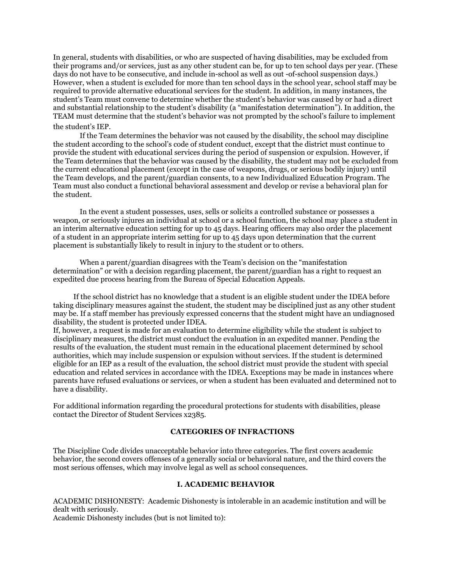In general, students with disabilities, or who are suspected of having disabilities, may be excluded from their programs and/or services, just as any other student can be, for up to ten school days per year. (These days do not have to be consecutive, and include in-school as well as out -of-school suspension days.) However, when a student is excluded for more than ten school days in the school year, school staff may be required to provide alternative educational services for the student. In addition, in many instances, the student's Team must convene to determine whether the student's behavior was caused by or had a direct and substantial relationship to the student's disability (a "manifestation determination"). In addition, the TEAM must determine that the student's behavior was not prompted by the school's failure to implement the student's IEP.

#### If the Team determines the behavior was not caused by the disability, the school may discipline the student according to the school's code of student conduct, except that the district must continue to provide the student with educational services during the period of suspension or expulsion. However, if the Team determines that the behavior was caused by the disability, the student may not be excluded from the current educational placement (except in the case of weapons, drugs, or serious bodily injury) until the Team develops, and the parent/guardian consents, to a new Individualized Education Program. The Team must also conduct a functional behavioral assessment and develop or revise a behavioral plan for the student.

In the event a student possesses, uses, sells or solicits a controlled substance or possesses a weapon, or seriously injures an individual at school or a school function, the school may place a student in an interim alternative education setting for up to 45 days. Hearing officers may also order the placement of a student in an appropriate interim setting for up to 45 days upon determination that the current placement is substantially likely to result in injury to the student or to others.

When a parent/guardian disagrees with the Team's decision on the "manifestation determination" or with a decision regarding placement, the parent/guardian has a right to request an expedited due process hearing from the Bureau of Special Education Appeals.

If the school district has no knowledge that a student is an eligible student under the IDEA before taking disciplinary measures against the student, the student may be disciplined just as any other student may be. If a staff member has previously expressed concerns that the student might have an undiagnosed disability, the student is protected under IDEA.

If, however, a request is made for an evaluation to determine eligibility while the student is subject to disciplinary measures, the district must conduct the evaluation in an expedited manner. Pending the results of the evaluation, the student must remain in the educational placement determined by school authorities, which may include suspension or expulsion without services. If the student is determined eligible for an IEP as a result of the evaluation, the school district must provide the student with special education and related services in accordance with the IDEA. Exceptions may be made in instances where parents have refused evaluations or services, or when a student has been evaluated and determined not to have a disability.

For additional information regarding the procedural protections for students with disabilities, please contact the Director of Student Services x2385.

#### **CATEGORIES OF INFRACTIONS**

The Discipline Code divides unacceptable behavior into three categories. The first covers academic behavior, the second covers offenses of a generally social or behavioral nature, and the third covers the most serious offenses, which may involve legal as well as school consequences.

#### **I. ACADEMIC BEHAVIOR**

ACADEMIC DISHONESTY: Academic Dishonesty is intolerable in an academic institution and will be dealt with seriously. Academic Dishonesty includes (but is not limited to):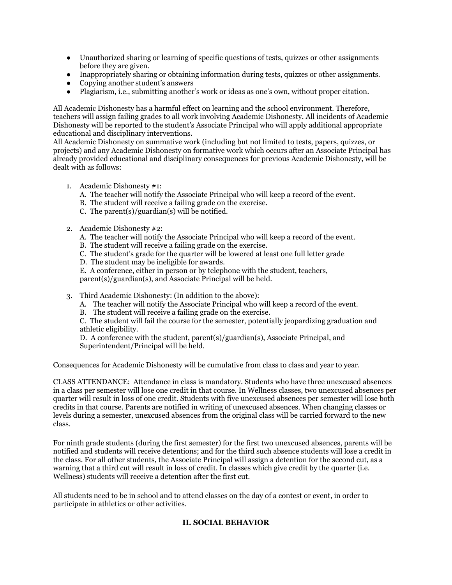- Unauthorized sharing or learning of specific questions of tests, quizzes or other assignments before they are given.
- Inappropriately sharing or obtaining information during tests, quizzes or other assignments.
- Copying another student's answers
- Plagiarism, i.e., submitting another's work or ideas as one's own, without proper citation.

All Academic Dishonesty has a harmful effect on learning and the school environment. Therefore, teachers will assign failing grades to all work involving Academic Dishonesty. All incidents of Academic Dishonesty will be reported to the student's Associate Principal who will apply additional appropriate educational and disciplinary interventions.

All Academic Dishonesty on summative work (including but not limited to tests, papers, quizzes, or projects) and any Academic Dishonesty on formative work which occurs after an Associate Principal has already provided educational and disciplinary consequences for previous Academic Dishonesty, will be dealt with as follows:

- 1. Academic Dishonesty #1:
	- A. The teacher will notify the Associate Principal who will keep a record of the event.
	- B. The student will receive a failing grade on the exercise.
	- C. The parent(s)/guardian(s) will be notified.
- 2. Academic Dishonesty #2:
	- A. The teacher will notify the Associate Principal who will keep a record of the event.
	- B. The student will receive a failing grade on the exercise.
	- C. The student's grade for the quarter will be lowered at least one full letter grade
	- D. The student may be ineligible for awards.
	- E. A conference, either in person or by telephone with the student, teachers,

parent(s)/guardian(s), and Associate Principal will be held.

- 3. Third Academic Dishonesty: (In addition to the above):
	- A. The teacher will notify the Associate Principal who will keep a record of the event.
	- B. The student will receive a failing grade on the exercise.

C. The student will fail the course for the semester, potentially jeopardizing graduation and athletic eligibility.

D. A conference with the student, parent(s)/guardian(s), Associate Principal, and Superintendent/Principal will be held.

Consequences for Academic Dishonesty will be cumulative from class to class and year to year.

CLASS ATTENDANCE: Attendance in class is mandatory. Students who have three unexcused absences in a class per semester will lose one credit in that course. In Wellness classes, two unexcused absences per quarter will result in loss of one credit. Students with five unexcused absences per semester will lose both credits in that course. Parents are notified in writing of unexcused absences. When changing classes or levels during a semester, unexcused absences from the original class will be carried forward to the new class.

For ninth grade students (during the first semester) for the first two unexcused absences, parents will be notified and students will receive detentions; and for the third such absence students will lose a credit in the class. For all other students, the Associate Principal will assign a detention for the second cut, as a warning that a third cut will result in loss of credit. In classes which give credit by the quarter (i.e. Wellness) students will receive a detention after the first cut.

All students need to be in school and to attend classes on the day of a contest or event, in order to participate in athletics or other activities.

# **II. SOCIAL BEHAVIOR**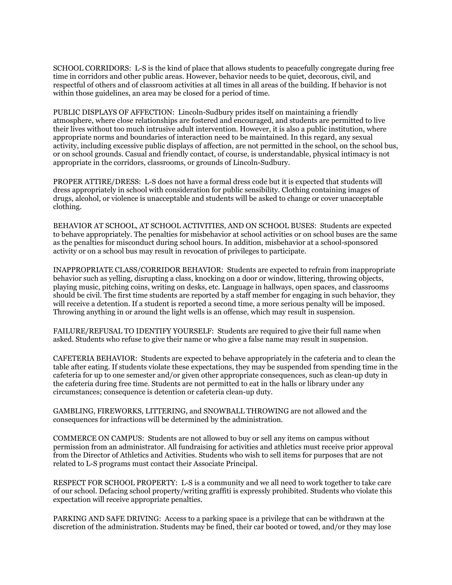SCHOOL CORRIDORS: L-S is the kind of place that allows students to peacefully congregate during free time in corridors and other public areas. However, behavior needs to be quiet, decorous, civil, and respectful of others and of classroom activities at all times in all areas of the building. If behavior is not within those guidelines, an area may be closed for a period of time.

PUBLIC DISPLAYS OF AFFECTION: Lincoln-Sudbury prides itself on maintaining a friendly atmosphere, where close relationships are fostered and encouraged, and students are permitted to live their lives without too much intrusive adult intervention. However, it is also a public institution, where appropriate norms and boundaries of interaction need to be maintained. In this regard, any sexual activity, including excessive public displays of affection, are not permitted in the school, on the school bus, or on school grounds. Casual and friendly contact, of course, is understandable, physical intimacy is not appropriate in the corridors, classrooms, or grounds of Lincoln-Sudbury.

PROPER ATTIRE/DRESS: L-S does not have a formal dress code but it is expected that students will dress appropriately in school with consideration for public sensibility. Clothing containing images of drugs, alcohol, or violence is unacceptable and students will be asked to change or cover unacceptable clothing.

BEHAVIOR AT SCHOOL, AT SCHOOL ACTIVITIES, AND ON SCHOOL BUSES: Students are expected to behave appropriately. The penalties for misbehavior at school activities or on school buses are the same as the penalties for misconduct during school hours. In addition, misbehavior at a school-sponsored activity or on a school bus may result in revocation of privileges to participate.

INAPPROPRIATE CLASS/CORRIDOR BEHAVIOR: Students are expected to refrain from inappropriate behavior such as yelling, disrupting a class, knocking on a door or window, littering, throwing objects, playing music, pitching coins, writing on desks, etc. Language in hallways, open spaces, and classrooms should be civil. The first time students are reported by a staff member for engaging in such behavior, they will receive a detention. If a student is reported a second time, a more serious penalty will be imposed. Throwing anything in or around the light wells is an offense, which may result in suspension.

FAILURE/REFUSAL TO IDENTIFY YOURSELF: Students are required to give their full name when asked. Students who refuse to give their name or who give a false name may result in suspension.

CAFETERIA BEHAVIOR: Students are expected to behave appropriately in the cafeteria and to clean the table after eating. If students violate these expectations, they may be suspended from spending time in the cafeteria for up to one semester and/or given other appropriate consequences, such as clean-up duty in the cafeteria during free time. Students are not permitted to eat in the halls or library under any circumstances; consequence is detention or cafeteria clean-up duty.

GAMBLING, FIREWORKS, LITTERING, and SNOWBALL THROWING are not allowed and the consequences for infractions will be determined by the administration.

COMMERCE ON CAMPUS: Students are not allowed to buy or sell any items on campus without permission from an administrator. All fundraising for activities and athletics must receive prior approval from the Director of Athletics and Activities. Students who wish to sell items for purposes that are not related to L-S programs must contact their Associate Principal.

RESPECT FOR SCHOOL PROPERTY: L-S is a community and we all need to work together to take care of our school. Defacing school property/writing graffiti is expressly prohibited. Students who violate this expectation will receive appropriate penalties.

PARKING AND SAFE DRIVING: Access to a parking space is a privilege that can be withdrawn at the discretion of the administration. Students may be fined, their car booted or towed, and/or they may lose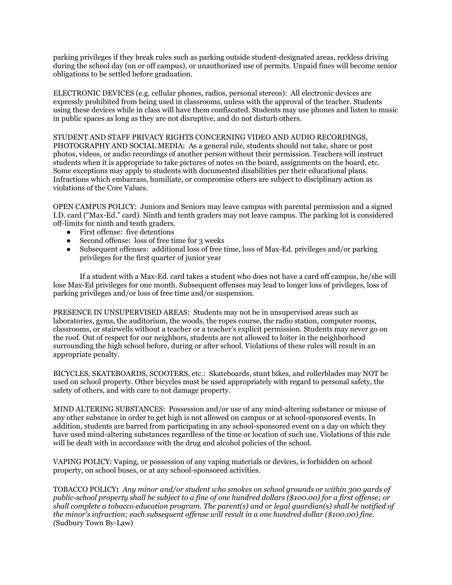parking privileges if they break rules such as parking outside student-designated areas, reckless driving during the school day (on or off campus), or unauthorized use of permits. Unpaid fines will become senior obligations to be settled before graduation.

ELECTRONIC DEVICES (e.g. cellular phones, radios, personal stereos): All electronic devices are expressly prohibited from being used in classrooms, unless with the approval of the teacher. Students using these devices while in class will have them confiscated. Students may use phones and listen to music in public spaces as long as they are not disruptive, and do not disturb others.

STUDENT AND STAFF PRIVACY RIGHTS CONCERNING VIDEO AND AUDIO RECORDINGS, PHOTOGRAPHY AND SOCIAL MEDIA: As a general rule, students should not take, share or post photos, videos, or audio recordings of another person without their permission. Teachers will instruct students when it is appropriate to take pictures of notes on the board, assignments on the board, etc. Some exceptions may apply to students with documented disabilities per their educational plans. Infractions which embarrass, humiliate, or compromise others are subject to disciplinary action as violations of the Core Values.

OPEN CAMPUS POLICY: Juniors and Seniors may leave campus with parental permission and a signed I.D. card ("Max-Ed." card). Ninth and tenth graders may not leave campus. The parking lot is considered off-limits for ninth and tenth graders.

- First offense: five detentions
- Second offense: loss of free time for 3 weeks
- Subsequent offenses: additional loss of free time, loss of Max-Ed. privileges and/or parking privileges for the first quarter of junior year

If a student with a Max-Ed. card takes a student who does not have a card off campus, he/she will lose Max-Ed privileges for one month. Subsequent offenses may lead to longer loss of privileges, loss of parking privileges and/or loss of free time and/or suspension.

PRESENCE IN UNSUPERVISED AREAS: Students may not be in unsupervised areas such as laboratories, gyms, the auditorium, the woods, the ropes course, the radio station, computer rooms, classrooms, or stairwells without a teacher or a teacher's explicit permission. Students may never go on the roof. Out of respect for our neighbors, students are not allowed to loiter in the neighborhood surrounding the high school before, during or after school. Violations of these rules will result in an appropriate penalty.

BICYCLES, SKATEBOARDS, SCOOTERS, etc.: Skateboards, stunt bikes, and rollerblades may NOT be used on school property. Other bicycles must be used appropriately with regard to personal safety, the safety of others, and with care to not damage property.

MIND ALTERING SUBSTANCES: Possession and/or use of any mind-altering substance or misuse of any other substance in order to get high is not allowed on campus or at school-sponsored events. In addition, students are barred from participating in any school-sponsored event on a day on which they have used mind-altering substances regardless of the time or location of such use. Violations of this rule will be dealt with in accordance with the drug and alcohol policies of the school.

VAPING POLICY: Vaping, or possession of any vaping materials or devices, is forbidden on school property, on school buses, or at any school-sponsored activities.

TOBACCO POLICY**:** *Any minor and/or student who smokes on school grounds or within 300 yards of* public-school property shall be subject to a fine of one hundred dollars (\$100.00) for a first offense; or *shall complete a tobacco education program. The parent(s) and or legal guardian(s) shall be notified of the minor's infraction; each subsequent of ense will result in a one hundred dollar (\$100.00) fine. (*Sudbury Town By-Law)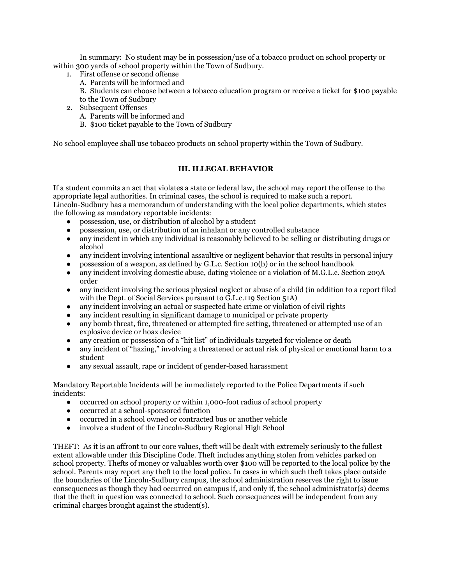In summary: No student may be in possession/use of a tobacco product on school property or within 300 yards of school property within the Town of Sudbury.

- 1. First offense or second offense
	- A. Parents will be informed and
	- B. Students can choose between a tobacco education program or receive a ticket for \$100 payable to the Town of Sudbury
- 2. Subsequent Offenses
	- A. Parents will be informed and
	- B. \$100 ticket payable to the Town of Sudbury

No school employee shall use tobacco products on school property within the Town of Sudbury.

### **III. ILLEGAL BEHAVIOR**

If a student commits an act that violates a state or federal law, the school may report the offense to the appropriate legal authorities. In criminal cases, the school is required to make such a report. Lincoln-Sudbury has a memorandum of understanding with the local police departments, which states the following as mandatory reportable incidents:

- possession, use, or distribution of alcohol by a student
- possession, use, or distribution of an inhalant or any controlled substance
- any incident in which any individual is reasonably believed to be selling or distributing drugs or alcohol
- any incident involving intentional assaultive or negligent behavior that results in personal injury
- possession of a weapon, as defined by G.L.c. Section  $10(b)$  or in the school handbook
- any incident involving domestic abuse, dating violence or a violation of M.G.L.c. Section 209A order
- any incident involving the serious physical neglect or abuse of a child (in addition to a report filed with the Dept. of Social Services pursuant to G.L.c.119 Section 51A)
- any incident involving an actual or suspected hate crime or violation of civil rights
- any incident resulting in significant damage to municipal or private property
- any bomb threat, fire, threatened or attempted fire setting, threatened or attempted use of an explosive device or hoax device
- any creation or possession of a "hit list" of individuals targeted for violence or death
- any incident of "hazing," involving a threatened or actual risk of physical or emotional harm to a student
- any sexual assault, rape or incident of gender-based harassment

Mandatory Reportable Incidents will be immediately reported to the Police Departments if such incidents:

- occurred on school property or within 1,000-foot radius of school property
- occurred at a school-sponsored function
- occurred in a school owned or contracted bus or another vehicle
- involve a student of the Lincoln-Sudbury Regional High School

THEFT: As it is an affront to our core values, theft will be dealt with extremely seriously to the fullest extent allowable under this Discipline Code. Theft includes anything stolen from vehicles parked on school property. Thefts of money or valuables worth over \$100 will be reported to the local police by the school. Parents may report any theft to the local police. In cases in which such theft takes place outside the boundaries of the Lincoln-Sudbury campus, the school administration reserves the right to issue consequences as though they had occurred on campus if, and only if, the school administrator(s) deems that the theft in question was connected to school. Such consequences will be independent from any criminal charges brought against the student(s).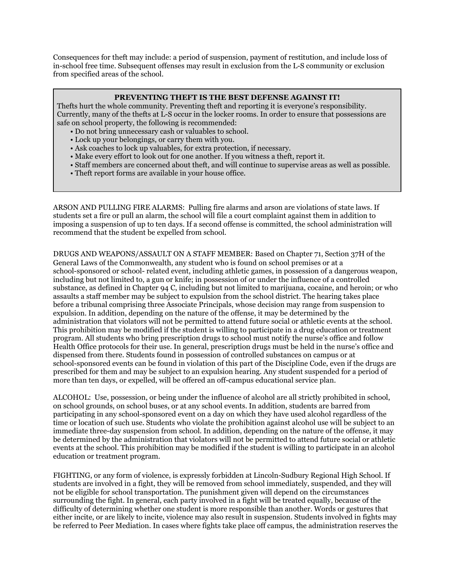Consequences for theft may include: a period of suspension, payment of restitution, and include loss of in-school free time. Subsequent offenses may result in exclusion from the L-S community or exclusion from specified areas of the school.

### **PREVENTING THEFT IS THE BEST DEFENSE AGAINST IT!**

Thefts hurt the whole community. Preventing theft and reporting it is everyone's responsibility. Currently, many of the thefts at L-S occur in the locker rooms. In order to ensure that possessions are safe on school property, the following is recommended:

- Do not bring unnecessary cash or valuables to school.
- Lock up your belongings, or carry them with you.
- Ask coaches to lock up valuables, for extra protection, if necessary.
- Make every effort to look out for one another. If you witness a theft, report it.
- Staff members are concerned about theft, and will continue to supervise areas as well as possible.
- Theft report forms are available in your house office.

ARSON AND PULLING FIRE ALARMS: Pulling fire alarms and arson are violations of state laws. If students set a fire or pull an alarm, the school will file a court complaint against them in addition to imposing a suspension of up to ten days. If a second offense is committed, the school administration will recommend that the student be expelled from school.

DRUGS AND WEAPONS/ASSAULT ON A STAFF MEMBER: Based on Chapter 71, Section 37H of the General Laws of the Commonwealth, any student who is found on school premises or at a school-sponsored or school- related event, including athletic games, in possession of a dangerous weapon, including but not limited to, a gun or knife; in possession of or under the influence of a controlled substance, as defined in Chapter 94 C, including but not limited to marijuana, cocaine, and heroin; or who assaults a staff member may be subject to expulsion from the school district. The hearing takes place before a tribunal comprising three Associate Principals, whose decision may range from suspension to expulsion. In addition, depending on the nature of the offense, it may be determined by the administration that violators will not be permitted to attend future social or athletic events at the school. This prohibition may be modified if the student is willing to participate in a drug education or treatment program. All students who bring prescription drugs to school must notify the nurse's office and follow Health Office protocols for their use. In general, prescription drugs must be held in the nurse's office and dispensed from there. Students found in possession of controlled substances on campus or at school-sponsored events can be found in violation of this part of the Discipline Code, even if the drugs are prescribed for them and may be subject to an expulsion hearing. Any student suspended for a period of more than ten days, or expelled, will be offered an off-campus educational service plan.

ALCOHOL: Use, possession, or being under the influence of alcohol are all strictly prohibited in school, on school grounds, on school buses, or at any school events. In addition, students are barred from participating in any school-sponsored event on a day on which they have used alcohol regardless of the time or location of such use. Students who violate the prohibition against alcohol use will be subject to an immediate three-day suspension from school. In addition, depending on the nature of the offense, it may be determined by the administration that violators will not be permitted to attend future social or athletic events at the school. This prohibition may be modified if the student is willing to participate in an alcohol education or treatment program.

FIGHTING, or any form of violence, is expressly forbidden at Lincoln-Sudbury Regional High School. If students are involved in a fight, they will be removed from school immediately, suspended, and they will not be eligible for school transportation. The punishment given will depend on the circumstances surrounding the fight. In general, each party involved in a fight will be treated equally, because of the difficulty of determining whether one student is more responsible than another. Words or gestures that either incite, or are likely to incite, violence may also result in suspension. Students involved in fights may be referred to Peer Mediation. In cases where fights take place off campus, the administration reserves the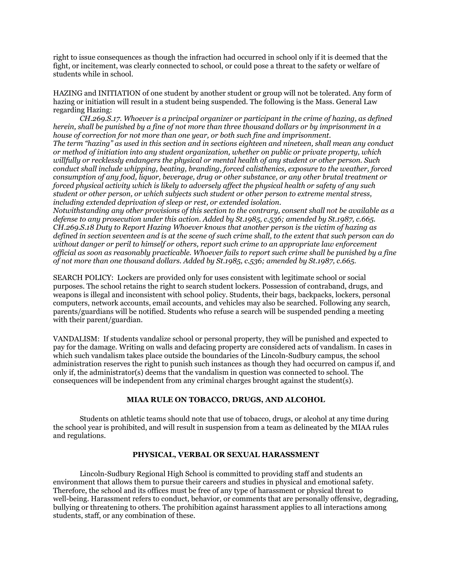right to issue consequences as though the infraction had occurred in school only if it is deemed that the fight, or incitement, was clearly connected to school, or could pose a threat to the safety or welfare of students while in school.

HAZING and INITIATION of one student by another student or group will not be tolerated. Any form of hazing or initiation will result in a student being suspended. The following is the Mass. General Law regarding Hazing:

*CH.269.S.17. Whoever is a principal organizer or participant in the crime of hazing, as defined* herein, shall be punished by a fine of not more than three thousand dollars or by imprisonment in a *house of correction for not more than one year, or both such fine and imprisonment.* The term "hazing" as used in this section and in sections eighteen and nineteen, shall mean any conduct *or method of initiation into any student organization, whether on public or private property, which willfully or recklessly endangers the physical or mental health of any student or other person. Such conduct shall include whipping, beating, branding, forced calisthenics, exposure to the weather, forced consumption of any food, liquor, beverage, drug or other substance, or any other brutal treatment or* forced physical activity which is likely to adversely affect the physical health or safety of any such *student or other person, or which subjects such student or other person to extreme mental stress,*

*including extended deprivation of sleep or rest, or extended isolation.*

*Notwithstanding any other provisions of this section to the contrary, consent shall not be available as a defense to any prosecution under this action. Added by St.1985, c.536; amended by St.1987, c.665. CH.269.S.18 Duty to Report Hazing Whoever knows that another person is the victim of hazing as* defined in section seventeen and is at the scene of such crime shall, to the extent that such person can do *without danger or peril to himself or others, report such crime to an appropriate law enforcement* official as soon as reasonably practicable. Whoever fails to report such crime shall be punished by a fine *of not more than one thousand dollars. Added by St.1985, c.536; amended by St.1987, c.665.*

SEARCH POLICY: Lockers are provided only for uses consistent with legitimate school or social purposes. The school retains the right to search student lockers. Possession of contraband, drugs, and weapons is illegal and inconsistent with school policy. Students, their bags, backpacks, lockers, personal computers, network accounts, email accounts, and vehicles may also be searched. Following any search, parents/guardians will be notified. Students who refuse a search will be suspended pending a meeting with their parent/guardian.

VANDALISM: If students vandalize school or personal property, they will be punished and expected to pay for the damage. Writing on walls and defacing property are considered acts of vandalism. In cases in which such vandalism takes place outside the boundaries of the Lincoln-Sudbury campus, the school administration reserves the right to punish such instances as though they had occurred on campus if, and only if, the administrator(s) deems that the vandalism in question was connected to school. The consequences will be independent from any criminal charges brought against the student(s).

# **MIAA RULE ON TOBACCO, DRUGS, AND ALCOHOL**

Students on athletic teams should note that use of tobacco, drugs, or alcohol at any time during the school year is prohibited, and will result in suspension from a team as delineated by the MIAA rules and regulations.

### **PHYSICAL, VERBAL OR SEXUAL HARASSMENT**

Lincoln-Sudbury Regional High School is committed to providing staff and students an environment that allows them to pursue their careers and studies in physical and emotional safety. Therefore, the school and its offices must be free of any type of harassment or physical threat to well-being. Harassment refers to conduct, behavior, or comments that are personally offensive, degrading, bullying or threatening to others. The prohibition against harassment applies to all interactions among students, staff, or any combination of these.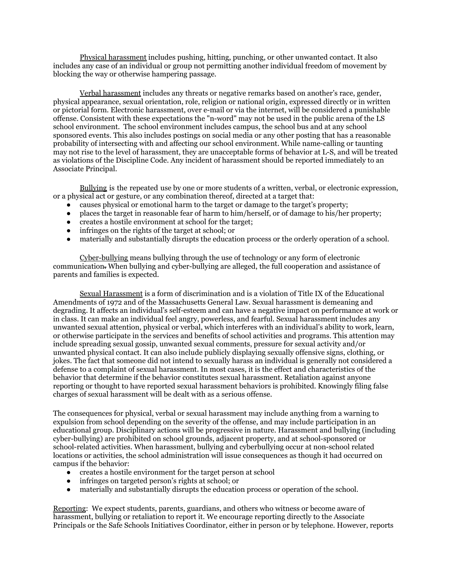Physical harassment includes pushing, hitting, punching, or other unwanted contact. It also includes any case of an individual or group not permitting another individual freedom of movement by blocking the way or otherwise hampering passage.

Verbal harassment includes any threats or negative remarks based on another's race, gender, physical appearance, sexual orientation, role, religion or national origin, expressed directly or in written or pictorial form. Electronic harassment, over e-mail or via the internet, will be considered a punishable offense. Consistent with these expectations the "n-word" may not be used in the public arena of the LS school environment. The school environment includes campus, the school bus and at any school sponsored events. This also includes postings on social media or any other posting that has a reasonable probability of intersecting with and affecting our school environment. While name-calling or taunting may not rise to the level of harassment, they are unacceptable forms of behavior at L-S, and will be treated as violations of the Discipline Code. Any incident of harassment should be reported immediately to an Associate Principal.

Bullying is the repeated use by one or more students of a written, verbal, or electronic expression, or a physical act or gesture, or any combination thereof, directed at a target that:

- causes physical or emotional harm to the target or damage to the target's property;
- places the target in reasonable fear of harm to him/herself, or of damage to his/her property;
- creates a hostile environment at school for the target;
- infringes on the rights of the target at school; or
- materially and substantially disrupts the education process or the orderly operation of a school.

Cyber-bullying means bullying through the use of technology or any form of electronic communication. When bullying and cyber-bullying are alleged, the full cooperation and assistance of parents and families is expected.

Sexual Harassment is a form of discrimination and is a violation of Title IX of the Educational Amendments of 1972 and of the Massachusetts General Law. Sexual harassment is demeaning and degrading. It affects an individual's self-esteem and can have a negative impact on performance at work or in class. It can make an individual feel angry, powerless, and fearful. Sexual harassment includes any unwanted sexual attention, physical or verbal, which interferes with an individual's ability to work, learn, or otherwise participate in the services and benefits of school activities and programs. This attention may include spreading sexual gossip, unwanted sexual comments, pressure for sexual activity and/or unwanted physical contact. It can also include publicly displaying sexually offensive signs, clothing, or jokes. The fact that someone did not intend to sexually harass an individual is generally not considered a defense to a complaint of sexual harassment. In most cases, it is the effect and characteristics of the behavior that determine if the behavior constitutes sexual harassment. Retaliation against anyone reporting or thought to have reported sexual harassment behaviors is prohibited. Knowingly filing false charges of sexual harassment will be dealt with as a serious offense.

The consequences for physical, verbal or sexual harassment may include anything from a warning to expulsion from school depending on the severity of the offense, and may include participation in an educational group. Disciplinary actions will be progressive in nature. Harassment and bullying (including cyber-bullying) are prohibited on school grounds, adjacent property, and at school-sponsored or school-related activities. When harassment, bullying and cyberbullying occur at non-school related locations or activities, the school administration will issue consequences as though it had occurred on campus if the behavior:

- creates a hostile environment for the target person at school
- infringes on targeted person's rights at school; or
- materially and substantially disrupts the education process or operation of the school.

Reporting: We expect students, parents, guardians, and others who witness or become aware of harassment, bullying or retaliation to report it. We encourage reporting directly to the Associate Principals or the Safe Schools Initiatives Coordinator, either in person or by telephone. However, reports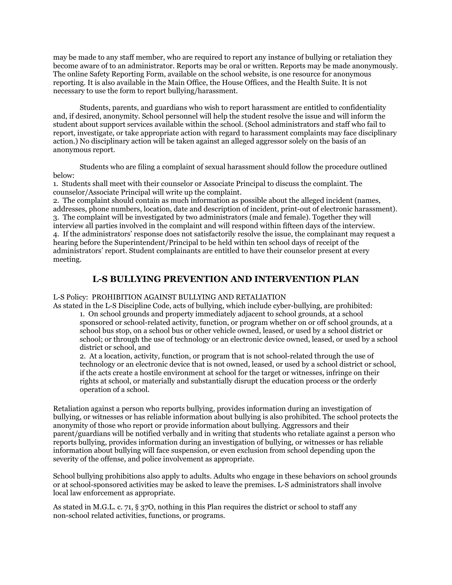may be made to any staff member, who are required to report any instance of bullying or retaliation they become aware of to an administrator. Reports may be oral or written. Reports may be made anonymously. The online Safety Reporting Form, available on the school website, is one resource for anonymous reporting. It is also available in the Main Office, the House Offices, and the Health Suite. It is not necessary to use the form to report bullying/harassment.

Students, parents, and guardians who wish to report harassment are entitled to confidentiality and, if desired, anonymity. School personnel will help the student resolve the issue and will inform the student about support services available within the school. (School administrators and staff who fail to report, investigate, or take appropriate action with regard to harassment complaints may face disciplinary action.) No disciplinary action will be taken against an alleged aggressor solely on the basis of an anonymous report.

Students who are filing a complaint of sexual harassment should follow the procedure outlined below:

1. Students shall meet with their counselor or Associate Principal to discuss the complaint. The counselor/Associate Principal will write up the complaint.

2. The complaint should contain as much information as possible about the alleged incident (names, addresses, phone numbers, location, date and description of incident, print-out of electronic harassment). 3. The complaint will be investigated by two administrators (male and female). Together they will interview all parties involved in the complaint and will respond within fifteen days of the interview. 4. If the administrators' response does not satisfactorily resolve the issue, the complainant may request a hearing before the Superintendent/Principal to be held within ten school days of receipt of the administrators' report. Student complainants are entitled to have their counselor present at every meeting.

# **L-S BULLYING PREVENTION AND INTERVENTION PLAN**

# L-S Policy: PROHIBITION AGAINST BULLYING AND RETALIATION

As stated in the L-S Discipline Code, acts of bullying, which include cyber-bullying, are prohibited: 1. On school grounds and property immediately adjacent to school grounds, at a school sponsored or school-related activity, function, or program whether on or off school grounds, at a school bus stop, on a school bus or other vehicle owned, leased, or used by a school district or school; or through the use of technology or an electronic device owned, leased, or used by a school district or school, and

2. At a location, activity, function, or program that is not school-related through the use of technology or an electronic device that is not owned, leased, or used by a school district or school, if the acts create a hostile environment at school for the target or witnesses, infringe on their rights at school, or materially and substantially disrupt the education process or the orderly operation of a school.

Retaliation against a person who reports bullying, provides information during an investigation of bullying, or witnesses or has reliable information about bullying is also prohibited. The school protects the anonymity of those who report or provide information about bullying. Aggressors and their parent/guardians will be notified verbally and in writing that students who retaliate against a person who reports bullying, provides information during an investigation of bullying, or witnesses or has reliable information about bullying will face suspension, or even exclusion from school depending upon the severity of the offense, and police involvement as appropriate.

School bullying prohibitions also apply to adults. Adults who engage in these behaviors on school grounds or at school-sponsored activities may be asked to leave the premises. L-S administrators shall involve local law enforcement as appropriate.

As stated in M.G.L. c. 71, § 37O, nothing in this Plan requires the district or school to staff any non-school related activities, functions, or programs.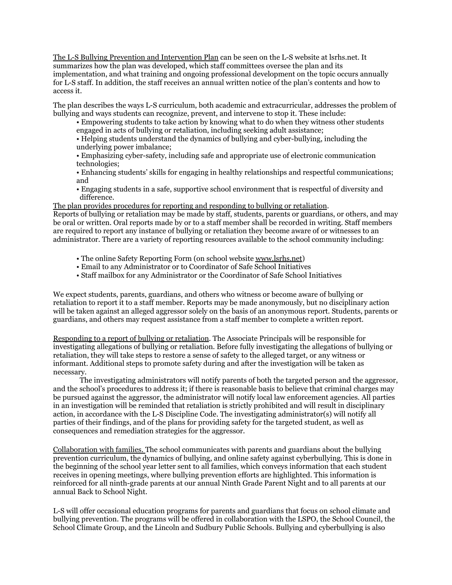The L-S Bullying Prevention and Intervention Plan can be seen on the L-S website at lsrhs.net. It summarizes how the plan was developed, which staff committees oversee the plan and its implementation, and what training and ongoing professional development on the topic occurs annually for L-S staff. In addition, the staff receives an annual written notice of the plan's contents and how to access it.

The plan describes the ways L-S curriculum, both academic and extracurricular, addresses the problem of bullying and ways students can recognize, prevent, and intervene to stop it. These include:

• Empowering students to take action by knowing what to do when they witness other students engaged in acts of bullying or retaliation, including seeking adult assistance;

• Helping students understand the dynamics of bullying and cyber-bullying, including the underlying power imbalance;

• Emphasizing cyber-safety, including safe and appropriate use of electronic communication technologies;

• Enhancing students' skills for engaging in healthy relationships and respectful communications; and

• Engaging students in a safe, supportive school environment that is respectful of diversity and difference.

The plan provides procedures for reporting and responding to bullying or retaliation. Reports of bullying or retaliation may be made by staff, students, parents or guardians, or others, and may be oral or written. Oral reports made by or to a staff member shall be recorded in writing. Staff members are required to report any instance of bullying or retaliation they become aware of or witnesses to an administrator. There are a variety of reporting resources available to the school community including:

- The online Safety Reporting Form (on school website [www.lsrhs.net](http://www.lsrhs.net))
- Email to any Administrator or to Coordinator of Safe School Initiatives
- Staff mailbox for any Administrator or the Coordinator of Safe School Initiatives

We expect students, parents, guardians, and others who witness or become aware of bullying or retaliation to report it to a staff member. Reports may be made anonymously, but no disciplinary action will be taken against an alleged aggressor solely on the basis of an anonymous report. Students, parents or guardians, and others may request assistance from a staff member to complete a written report.

Responding to a report of bullying or retaliation. The Associate Principals will be responsible for investigating allegations of bullying or retaliation. Before fully investigating the allegations of bullying or retaliation, they will take steps to restore a sense of safety to the alleged target, or any witness or informant. Additional steps to promote safety during and after the investigation will be taken as necessary.

The investigating administrators will notify parents of both the targeted person and the aggressor, and the school's procedures to address it; if there is reasonable basis to believe that criminal charges may be pursued against the aggressor, the administrator will notify local law enforcement agencies. All parties in an investigation will be reminded that retaliation is strictly prohibited and will result in disciplinary action, in accordance with the L-S Discipline Code. The investigating administrator(s) will notify all parties of their findings, and of the plans for providing safety for the targeted student, as well as consequences and remediation strategies for the aggressor.

Collaboration with families. The school communicates with parents and guardians about the bullying prevention curriculum, the dynamics of bullying, and online safety against cyberbullying. This is done in the beginning of the school year letter sent to all families, which conveys information that each student receives in opening meetings, where bullying prevention efforts are highlighted. This information is reinforced for all ninth-grade parents at our annual Ninth Grade Parent Night and to all parents at our annual Back to School Night.

L-S will offer occasional education programs for parents and guardians that focus on school climate and bullying prevention. The programs will be offered in collaboration with the LSPO, the School Council, the School Climate Group, and the Lincoln and Sudbury Public Schools. Bullying and cyberbullying is also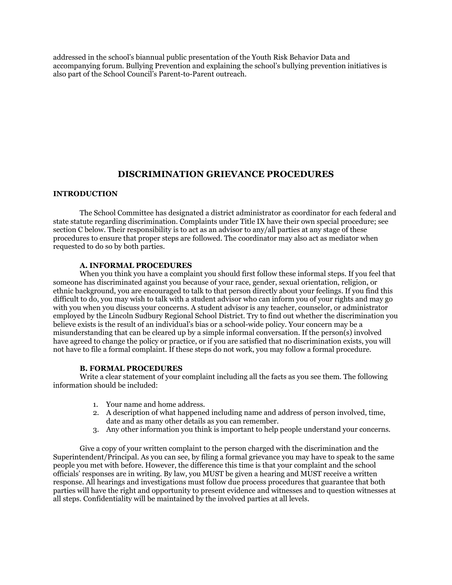addressed in the school's biannual public presentation of the Youth Risk Behavior Data and accompanying forum. Bullying Prevention and explaining the school's bullying prevention initiatives is also part of the School Council's Parent-to-Parent outreach.

# **DISCRIMINATION GRIEVANCE PROCEDURES**

### **INTRODUCTION**

The School Committee has designated a district administrator as coordinator for each federal and state statute regarding discrimination. Complaints under Title IX have their own special procedure; see section C below. Their responsibility is to act as an advisor to any/all parties at any stage of these procedures to ensure that proper steps are followed. The coordinator may also act as mediator when requested to do so by both parties.

#### **A. INFORMAL PROCEDURES**

When you think you have a complaint you should first follow these informal steps. If you feel that someone has discriminated against you because of your race, gender, sexual orientation, religion, or ethnic background, you are encouraged to talk to that person directly about your feelings. If you find this difficult to do, you may wish to talk with a student advisor who can inform you of your rights and may go with you when you discuss your concerns. A student advisor is any teacher, counselor, or administrator employed by the Lincoln Sudbury Regional School District. Try to find out whether the discrimination you believe exists is the result of an individual's bias or a school-wide policy. Your concern may be a misunderstanding that can be cleared up by a simple informal conversation. If the person(s) involved have agreed to change the policy or practice, or if you are satisfied that no discrimination exists, you will not have to file a formal complaint. If these steps do not work, you may follow a formal procedure.

#### **B. FORMAL PROCEDURES**

Write a clear statement of your complaint including all the facts as you see them. The following information should be included:

- 1. Your name and home address.
- 2. A description of what happened including name and address of person involved, time, date and as many other details as you can remember.
- 3. Any other information you think is important to help people understand your concerns.

Give a copy of your written complaint to the person charged with the discrimination and the Superintendent/Principal. As you can see, by filing a formal grievance you may have to speak to the same people you met with before. However, the difference this time is that your complaint and the school officials' responses are in writing. By law, you MUST be given a hearing and MUST receive a written response. All hearings and investigations must follow due process procedures that guarantee that both parties will have the right and opportunity to present evidence and witnesses and to question witnesses at all steps. Confidentiality will be maintained by the involved parties at all levels.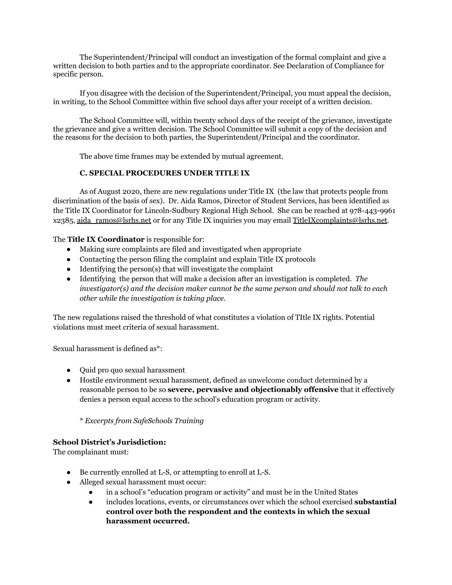The Superintendent/Principal will conduct an investigation of the formal complaint and give a written decision to both parties and to the appropriate coordinator. See Declaration of Compliance for specific person.

If you disagree with the decision of the Superintendent/Principal, you must appeal the decision, in writing, to the School Committee within five school days after your receipt of a written decision.

The School Committee will, within twenty school days of the receipt of the grievance, investigate the grievance and give a written decision. The School Committee will submit a copy of the decision and the reasons for the decision to both parties, the Superintendent/Principal and the coordinator.

The above time frames may be extended by mutual agreement.

# **C. SPECIAL PROCEDURES UNDER TITLE IX**

As of August 2020, there are new regulations under Title IX (the law that protects people from discrimination of the basis of sex). Dr. Aida Ramos, Director of Student Services, has been identified as the Title IX Coordinator for Lincoln-Sudbury Regional High School. She can be reached at 978-443-9961 x2385, [aida\\_ramos@lsrhs.net](mailto:aida_ramos@lsrhs.net) or for any Title IX inquiries you may email [TitleIXcomplaints@lsrhs.net.](mailto:TitleIXcomplaints@lsrhs.net)

The **Title IX Coordinator** is responsible for:

- Making sure complaints are filed and investigated when appropriate
- Contacting the person filing the complaint and explain Title IX protocols
- $\bullet$  Identifying the person(s) that will investigate the complaint
- Identifying the person that will make a decision after an investigation is completed. *The investigator(s) and the decision maker cannot be the same person and should not talk to each other while the investigation is taking place.*

The new regulations raised the threshold of what constitutes a violation of TItle IX rights. Potential violations must meet criteria of sexual harassment.

Sexual harassment is defined as\*:

- Quid pro quo sexual harassment
- Hostile environment sexual harassment, defined as unwelcome conduct determined by a reasonable person to be so **severe, pervasive and objectionably offensive** that it effectively denies a person equal access to the school's education program or activity.

\* *Excerpts from SafeSchools Training*

### **School District's Jurisdiction:**

The complainant must:

- Be currently enrolled at L-S, or attempting to enroll at L-S.
- Alleged sexual harassment must occur:
	- in a school's "education program or activity" and must be in the United States
	- includes locations, events, or circumstances over which the school exercised **substantial control over both the respondent and the contexts in which the sexual harassment occurred.**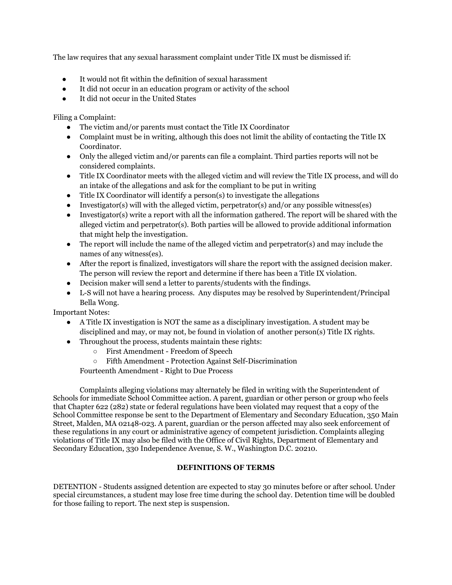The law requires that any sexual harassment complaint under Title IX must be dismissed if:

- It would not fit within the definition of sexual harassment
- It did not occur in an education program or activity of the school
- It did not occur in the United States

Filing a Complaint:

- The victim and/or parents must contact the Title IX Coordinator
- Complaint must be in writing, although this does not limit the ability of contacting the Title IX Coordinator.
- Only the alleged victim and/or parents can file a complaint. Third parties reports will not be considered complaints.
- Title IX Coordinator meets with the alleged victim and will review the Title IX process, and will do an intake of the allegations and ask for the compliant to be put in writing
- $\bullet$  Title IX Coordinator will identify a person(s) to investigate the allegations
- Investigator(s) will with the alleged victim, perpetrator(s) and/or any possible witness(es)
- Investigator(s) write a report with all the information gathered. The report will be shared with the alleged victim and perpetrator(s). Both parties will be allowed to provide additional information that might help the investigation.
- The report will include the name of the alleged victim and perpetrator(s) and may include the names of any witness(es).
- After the report is finalized, investigators will share the report with the assigned decision maker. The person will review the report and determine if there has been a Title IX violation.
- Decision maker will send a letter to parents/students with the findings.
- L-S will not have a hearing process. Any disputes may be resolved by Superintendent/Principal Bella Wong.

Important Notes:

- A Title IX investigation is NOT the same as a disciplinary investigation. A student may be disciplined and may, or may not, be found in violation of another person(s) Title IX rights.
- Throughout the process, students maintain these rights:
	- First Amendment Freedom of Speech
	- Fifth Amendment Protection Against Self-Discrimination

Fourteenth Amendment - Right to Due Process

Complaints alleging violations may alternately be filed in writing with the Superintendent of Schools for immediate School Committee action. A parent, guardian or other person or group who feels that Chapter 622 (282) state or federal regulations have been violated may request that a copy of the School Committee response be sent to the Department of Elementary and Secondary Education, 350 Main Street, Malden, MA 02148-023. A parent, guardian or the person affected may also seek enforcement of these regulations in any court or administrative agency of competent jurisdiction. Complaints alleging violations of Title IX may also be filed with the Office of Civil Rights, Department of Elementary and Secondary Education, 330 Independence Avenue, S. W., Washington D.C. 20210.

# **DEFINITIONS OF TERMS**

DETENTION - Students assigned detention are expected to stay 30 minutes before or after school. Under special circumstances, a student may lose free time during the school day. Detention time will be doubled for those failing to report. The next step is suspension.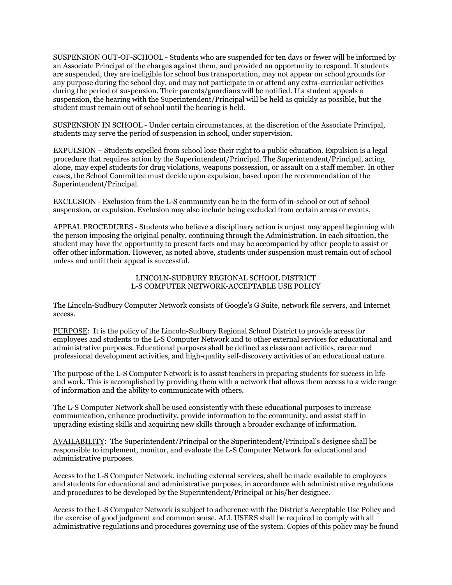SUSPENSION OUT-OF-SCHOOL - Students who are suspended for ten days or fewer will be informed by an Associate Principal of the charges against them, and provided an opportunity to respond. If students are suspended, they are ineligible for school bus transportation, may not appear on school grounds for any purpose during the school day, and may not participate in or attend any extra-curricular activities during the period of suspension. Their parents/guardians will be notified. If a student appeals a suspension, the hearing with the Superintendent/Principal will be held as quickly as possible, but the student must remain out of school until the hearing is held.

SUSPENSION IN SCHOOL - Under certain circumstances, at the discretion of the Associate Principal, students may serve the period of suspension in school, under supervision.

EXPULSION – Students expelled from school lose their right to a public education. Expulsion is a legal procedure that requires action by the Superintendent/Principal. The Superintendent/Principal, acting alone, may expel students for drug violations, weapons possession, or assault on a staff member. In other cases, the School Committee must decide upon expulsion, based upon the recommendation of the Superintendent/Principal.

EXCLUSION - Exclusion from the L-S community can be in the form of in-school or out of school suspension, or expulsion. Exclusion may also include being excluded from certain areas or events.

APPEAL PROCEDURES - Students who believe a disciplinary action is unjust may appeal beginning with the person imposing the original penalty, continuing through the Administration. In each situation, the student may have the opportunity to present facts and may be accompanied by other people to assist or offer other information. However, as noted above, students under suspension must remain out of school unless and until their appeal is successful.

#### LINCOLN-SUDBURY REGIONAL SCHOOL DISTRICT L-S COMPUTER NETWORK-ACCEPTABLE USE POLICY

The Lincoln-Sudbury Computer Network consists of Google's G Suite, network file servers, and Internet access.

PURPOSE: It is the policy of the Lincoln-Sudbury Regional School District to provide access for employees and students to the L-S Computer Network and to other external services for educational and administrative purposes. Educational purposes shall be defined as classroom activities, career and professional development activities, and high-quality self-discovery activities of an educational nature.

The purpose of the L-S Computer Network is to assist teachers in preparing students for success in life and work. This is accomplished by providing them with a network that allows them access to a wide range of information and the ability to communicate with others.

The L-S Computer Network shall be used consistently with these educational purposes to increase communication, enhance productivity, provide information to the community, and assist staff in upgrading existing skills and acquiring new skills through a broader exchange of information.

AVAILABILITY: The Superintendent/Principal or the Superintendent/Principal's designee shall be responsible to implement, monitor, and evaluate the L-S Computer Network for educational and administrative purposes.

Access to the L-S Computer Network, including external services, shall be made available to employees and students for educational and administrative purposes, in accordance with administrative regulations and procedures to be developed by the Superintendent/Principal or his/her designee.

Access to the L-S Computer Network is subject to adherence with the District's Acceptable Use Policy and the exercise of good judgment and common sense. ALL USERS shall be required to comply with all administrative regulations and procedures governing use of the system. Copies of this policy may be found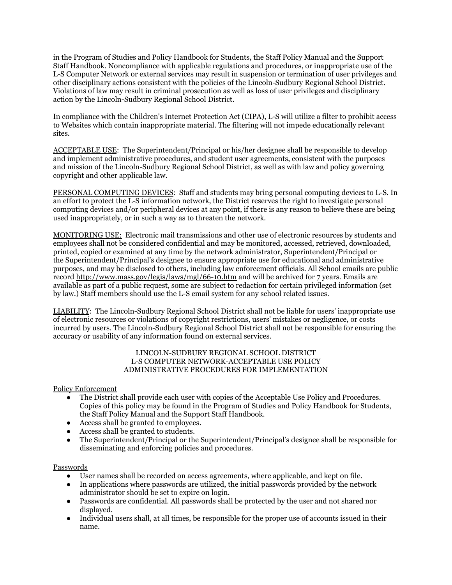in the Program of Studies and Policy Handbook for Students, the Staff Policy Manual and the Support Staff Handbook. Noncompliance with applicable regulations and procedures, or inappropriate use of the L-S Computer Network or external services may result in suspension or termination of user privileges and other disciplinary actions consistent with the policies of the Lincoln-Sudbury Regional School District. Violations of law may result in criminal prosecution as well as loss of user privileges and disciplinary action by the Lincoln-Sudbury Regional School District.

In compliance with the Children's Internet Protection Act (CIPA), L-S will utilize a filter to prohibit access to Websites which contain inappropriate material. The filtering will not impede educationally relevant sites.

ACCEPTABLE USE: The Superintendent/Principal or his/her designee shall be responsible to develop and implement administrative procedures, and student user agreements, consistent with the purposes and mission of the Lincoln-Sudbury Regional School District, as well as with law and policy governing copyright and other applicable law.

PERSONAL COMPUTING DEVICES: Staff and students may bring personal computing devices to L-S. In an effort to protect the L-S information network, the District reserves the right to investigate personal computing devices and/or peripheral devices at any point, if there is any reason to believe these are being used inappropriately, or in such a way as to threaten the network.

MONITORING USE: Electronic mail transmissions and other use of electronic resources by students and employees shall not be considered confidential and may be monitored, accessed, retrieved, downloaded, printed, copied or examined at any time by the network administrator, Superintendent/Principal or the Superintendent/Principal's designee to ensure appropriate use for educational and administrative purposes, and may be disclosed to others, including law enforcement officials. All School emails are public record <http://www.mass.gov/legis/laws/mgl/66-10.htm> and will be archived for 7 years. Emails are available as part of a public request, some are subject to redaction for certain privileged information (set by law.) Staff members should use the L-S email system for any school related issues.

LIABILITY: The Lincoln-Sudbury Regional School District shall not be liable for users' inappropriate use of electronic resources or violations of copyright restrictions, users' mistakes or negligence, or costs incurred by users. The Lincoln-Sudbury Regional School District shall not be responsible for ensuring the accuracy or usability of any information found on external services.

### LINCOLN-SUDBURY REGIONAL SCHOOL DISTRICT L-S COMPUTER NETWORK-ACCEPTABLE USE POLICY ADMINISTRATIVE PROCEDURES FOR IMPLEMENTATION

### Policy Enforcement

- The District shall provide each user with copies of the Acceptable Use Policy and Procedures. Copies of this policy may be found in the Program of Studies and Policy Handbook for Students, the Staff Policy Manual and the Support Staff Handbook.
- Access shall be granted to employees.
- Access shall be granted to students.
- The Superintendent/Principal or the Superintendent/Principal's designee shall be responsible for disseminating and enforcing policies and procedures.

# Passwords

- User names shall be recorded on access agreements, where applicable, and kept on file.
- In applications where passwords are utilized, the initial passwords provided by the network administrator should be set to expire on login.
- Passwords are confidential. All passwords shall be protected by the user and not shared nor displayed.
- Individual users shall, at all times, be responsible for the proper use of accounts issued in their name.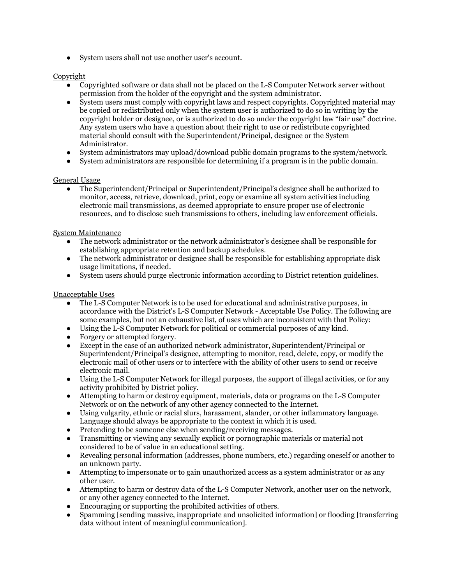● System users shall not use another user's account.

### Copyright

- Copyrighted software or data shall not be placed on the L-S Computer Network server without permission from the holder of the copyright and the system administrator.
- System users must comply with copyright laws and respect copyrights. Copyrighted material may be copied or redistributed only when the system user is authorized to do so in writing by the copyright holder or designee, or is authorized to do so under the copyright law "fair use" doctrine. Any system users who have a question about their right to use or redistribute copyrighted material should consult with the Superintendent/Principal, designee or the System Administrator.
- System administrators may upload/download public domain programs to the system/network.
- System administrators are responsible for determining if a program is in the public domain.

### General Usage

● The Superintendent/Principal or Superintendent/Principal's designee shall be authorized to monitor, access, retrieve, download, print, copy or examine all system activities including electronic mail transmissions, as deemed appropriate to ensure proper use of electronic resources, and to disclose such transmissions to others, including law enforcement officials.

### System Maintenance

- The network administrator or the network administrator's designee shall be responsible for establishing appropriate retention and backup schedules.
- The network administrator or designee shall be responsible for establishing appropriate disk usage limitations, if needed.
- System users should purge electronic information according to District retention guidelines.

### Unacceptable Uses

- The L-S Computer Network is to be used for educational and administrative purposes, in accordance with the District's L-S Computer Network - Acceptable Use Policy. The following are some examples, but not an exhaustive list, of uses which are inconsistent with that Policy:
- Using the L-S Computer Network for political or commercial purposes of any kind.
- Forgery or attempted forgery.
- Except in the case of an authorized network administrator, Superintendent/Principal or Superintendent/Principal's designee, attempting to monitor, read, delete, copy, or modify the electronic mail of other users or to interfere with the ability of other users to send or receive electronic mail.
- Using the L-S Computer Network for illegal purposes, the support of illegal activities, or for any activity prohibited by District policy.
- Attempting to harm or destroy equipment, materials, data or programs on the L-S Computer Network or on the network of any other agency connected to the Internet.
- Using vulgarity, ethnic or racial slurs, harassment, slander, or other inflammatory language. Language should always be appropriate to the context in which it is used.
- Pretending to be someone else when sending/receiving messages.
- Transmitting or viewing any sexually explicit or pornographic materials or material not considered to be of value in an educational setting.
- Revealing personal information (addresses, phone numbers, etc.) regarding oneself or another to an unknown party.
- Attempting to impersonate or to gain unauthorized access as a system administrator or as any other user.
- Attempting to harm or destroy data of the L-S Computer Network, another user on the network, or any other agency connected to the Internet.
- Encouraging or supporting the prohibited activities of others.
- Spamming [sending massive, inappropriate and unsolicited information] or flooding [transferring data without intent of meaningful communication].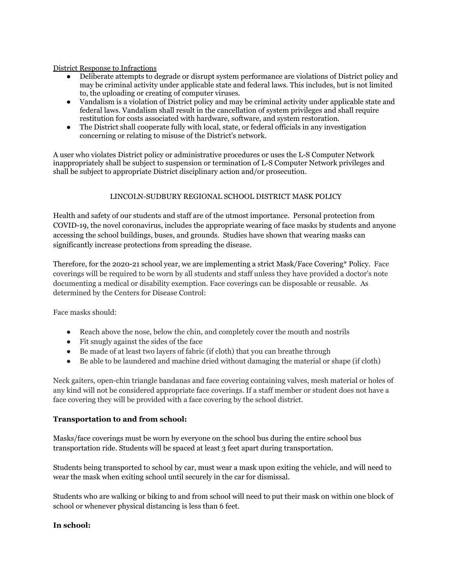### District Response to Infractions

- Deliberate attempts to degrade or disrupt system performance are violations of District policy and may be criminal activity under applicable state and federal laws. This includes, but is not limited to, the uploading or creating of computer viruses.
- Vandalism is a violation of District policy and may be criminal activity under applicable state and federal laws. Vandalism shall result in the cancellation of system privileges and shall require restitution for costs associated with hardware, software, and system restoration.
- The District shall cooperate fully with local, state, or federal officials in any investigation concerning or relating to misuse of the District's network.

A user who violates District policy or administrative procedures or uses the L-S Computer Network inappropriately shall be subject to suspension or termination of L-S Computer Network privileges and shall be subject to appropriate District disciplinary action and/or prosecution.

# LINCOLN-SUDBURY REGIONAL SCHOOL DISTRICT MASK POLICY

Health and safety of our students and staff are of the utmost importance. Personal protection from COVID-19, the novel coronavirus, includes the appropriate wearing of face masks by students and anyone accessing the school buildings, buses, and grounds. Studies have shown that wearing masks can significantly increase protections from spreading the disease.

Therefore, for the 2020-21 school year, we are implementing a strict Mask/Face Covering\* Policy. Face coverings will be required to be worn by all students and staff unless they have provided a doctor's note documenting a medical or disability exemption. Face coverings can be disposable or reusable. As determined by the Centers for Disease Control:

Face masks should:

- Reach above the nose, below the chin, and completely cover the mouth and nostrils
- Fit snugly against the sides of the face
- Be made of at least two layers of fabric (if cloth) that you can breathe through
- Be able to be laundered and machine dried without damaging the material or shape (if cloth)

Neck gaiters, open-chin triangle bandanas and face covering containing valves, mesh material or holes of any kind will not be considered appropriate face coverings. If a staff member or student does not have a face covering they will be provided with a face covering by the school district.

# **Transportation to and from school:**

Masks/face coverings must be worn by everyone on the school bus during the entire school bus transportation ride. Students will be spaced at least 3 feet apart during transportation.

Students being transported to school by car, must wear a mask upon exiting the vehicle, and will need to wear the mask when exiting school until securely in the car for dismissal.

Students who are walking or biking to and from school will need to put their mask on within one block of school or whenever physical distancing is less than 6 feet.

# **In school:**